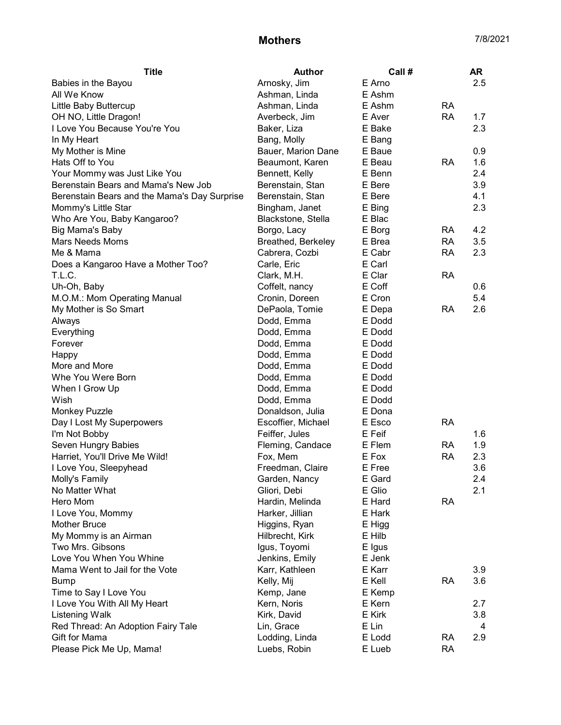## **Mothers** 7/8/2021

| <b>Title</b>                                 | <b>Author</b>      | Call #           |           | <b>AR</b> |
|----------------------------------------------|--------------------|------------------|-----------|-----------|
| Babies in the Bayou                          | Arnosky, Jim       | E Arno           |           | 2.5       |
| All We Know                                  | Ashman, Linda      | E Ashm           |           |           |
| Little Baby Buttercup                        | Ashman, Linda      | E Ashm           | <b>RA</b> |           |
| OH NO, Little Dragon!                        | Averbeck, Jim      | E Aver           | <b>RA</b> | 1.7       |
| I Love You Because You're You                | Baker, Liza        | E Bake           |           | 2.3       |
| In My Heart                                  | Bang, Molly        | E Bang           |           |           |
| My Mother is Mine                            | Bauer, Marion Dane | E Baue           |           | 0.9       |
| Hats Off to You                              | Beaumont, Karen    | E Beau           | <b>RA</b> | 1.6       |
| Your Mommy was Just Like You                 | Bennett, Kelly     | E Benn           |           | 2.4       |
| Berenstain Bears and Mama's New Job          | Berenstain, Stan   | E Bere           |           | 3.9       |
| Berenstain Bears and the Mama's Day Surprise | Berenstain, Stan   | E Bere           |           | 4.1       |
| Mommy's Little Star                          | Bingham, Janet     | E Bing           |           | 2.3       |
| Who Are You, Baby Kangaroo?                  | Blackstone, Stella | E Blac           |           |           |
| Big Mama's Baby                              | Borgo, Lacy        | E Borg           | RA        | 4.2       |
| <b>Mars Needs Moms</b>                       | Breathed, Berkeley | E Brea           | <b>RA</b> | 3.5       |
| Me & Mama                                    | Cabrera, Cozbi     | E Cabr           | <b>RA</b> | 2.3       |
| Does a Kangaroo Have a Mother Too?           | Carle, Eric        | E Carl           |           |           |
| T.L.C.                                       | Clark, M.H.        | E Clar           | <b>RA</b> |           |
| Uh-Oh, Baby                                  | Coffelt, nancy     | E Coff           |           | 0.6       |
| M.O.M.: Mom Operating Manual                 | Cronin, Doreen     | E Cron           |           | 5.4       |
| My Mother is So Smart                        | DePaola, Tomie     | E Depa           | <b>RA</b> | 2.6       |
| Always                                       | Dodd, Emma         | E Dodd           |           |           |
| Everything                                   | Dodd, Emma         | E Dodd           |           |           |
| Forever                                      | Dodd, Emma         | E Dodd           |           |           |
| Happy                                        | Dodd, Emma         | E Dodd           |           |           |
| More and More                                | Dodd, Emma         | E Dodd           |           |           |
| Whe You Were Born                            | Dodd, Emma         | E Dodd           |           |           |
|                                              |                    | E Dodd           |           |           |
| When I Grow Up<br>Wish                       | Dodd, Emma         |                  |           |           |
|                                              | Dodd, Emma         | E Dodd<br>E Dona |           |           |
| <b>Monkey Puzzle</b>                         | Donaldson, Julia   |                  | <b>RA</b> |           |
| Day I Lost My Superpowers                    | Escoffier, Michael | E Esco           |           |           |
| I'm Not Bobby                                | Feiffer, Jules     | E Feif           |           | 1.6       |
| Seven Hungry Babies                          | Fleming, Candace   | E Flem           | <b>RA</b> | 1.9       |
| Harriet, You'll Drive Me Wild!               | Fox, Mem           | E Fox            | <b>RA</b> | 2.3       |
| I Love You, Sleepyhead                       | Freedman, Claire   | E Free           |           | 3.6       |
| Molly's Family                               | Garden, Nancy      | E Gard           |           | 2.4       |
| No Matter What                               | Gliori, Debi       | E Glio           |           | 2.1       |
| Hero Mom                                     | Hardin, Melinda    | E Hard           | <b>RA</b> |           |
| I Love You, Mommy                            | Harker, Jillian    | E Hark           |           |           |
| <b>Mother Bruce</b>                          | Higgins, Ryan      | E Higg           |           |           |
| My Mommy is an Airman                        | Hilbrecht, Kirk    | E Hilb           |           |           |
| Two Mrs. Gibsons                             | Igus, Toyomi       | E Igus           |           |           |
| Love You When You Whine                      | Jenkins, Emily     | E Jenk           |           |           |
| Mama Went to Jail for the Vote               | Karr, Kathleen     | E Karr           |           | 3.9       |
| <b>Bump</b>                                  | Kelly, Mij         | E Kell           | <b>RA</b> | 3.6       |
| Time to Say I Love You                       | Kemp, Jane         | E Kemp           |           |           |
| I Love You With All My Heart                 | Kern, Noris        | E Kern           |           | 2.7       |
| <b>Listening Walk</b>                        | Kirk, David        | E Kirk           |           | 3.8       |
| Red Thread: An Adoption Fairy Tale           | Lin, Grace         | E Lin            |           | 4         |
| Gift for Mama                                | Lodding, Linda     | E Lodd           | <b>RA</b> | 2.9       |
| Please Pick Me Up, Mama!                     | Luebs, Robin       | E Lueb           | <b>RA</b> |           |